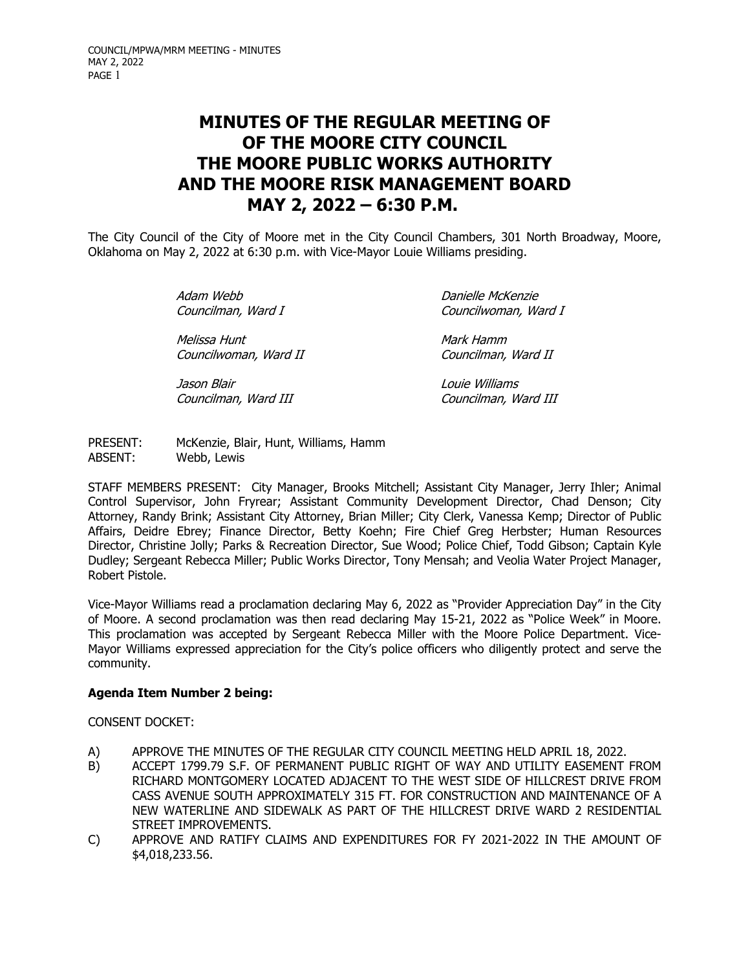# **MINUTES OF THE REGULAR MEETING OF OF THE MOORE CITY COUNCIL THE MOORE PUBLIC WORKS AUTHORITY AND THE MOORE RISK MANAGEMENT BOARD MAY 2, 2022 – 6:30 P.M.**

The City Council of the City of Moore met in the City Council Chambers, 301 North Broadway, Moore, Oklahoma on May 2, 2022 at 6:30 p.m. with Vice-Mayor Louie Williams presiding.

> Adam Webb Danielle McKenzie Councilman, Ward I Councilwoman, Ward I Melissa Hunt Mark Hamm Councilwoman, Ward II Councilman, Ward II Jason Blair Louie Williams Councilman, Ward III Councilman, Ward III

PRESENT: McKenzie, Blair, Hunt, Williams, Hamm<br>ABSENT: Webb, Lewis Webb, Lewis

STAFF MEMBERS PRESENT: City Manager, Brooks Mitchell; Assistant City Manager, Jerry Ihler; Animal Control Supervisor, John Fryrear; Assistant Community Development Director, Chad Denson; City Attorney, Randy Brink; Assistant City Attorney, Brian Miller; City Clerk, Vanessa Kemp; Director of Public Affairs, Deidre Ebrey; Finance Director, Betty Koehn; Fire Chief Greg Herbster; Human Resources Director, Christine Jolly; Parks & Recreation Director, Sue Wood; Police Chief, Todd Gibson; Captain Kyle Dudley; Sergeant Rebecca Miller; Public Works Director, Tony Mensah; and Veolia Water Project Manager, Robert Pistole.

Vice-Mayor Williams read a proclamation declaring May 6, 2022 as "Provider Appreciation Day" in the City of Moore. A second proclamation was then read declaring May 15-21, 2022 as "Police Week" in Moore. This proclamation was accepted by Sergeant Rebecca Miller with the Moore Police Department. Vice-Mayor Williams expressed appreciation for the City's police officers who diligently protect and serve the community.

## **Agenda Item Number 2 being:**

CONSENT DOCKET:

- A) APPROVE THE MINUTES OF THE REGULAR CITY COUNCIL MEETING HELD APRIL 18, 2022.
- B) ACCEPT 1799.79 S.F. OF PERMANENT PUBLIC RIGHT OF WAY AND UTILITY EASEMENT FROM RICHARD MONTGOMERY LOCATED ADJACENT TO THE WEST SIDE OF HILLCREST DRIVE FROM CASS AVENUE SOUTH APPROXIMATELY 315 FT. FOR CONSTRUCTION AND MAINTENANCE OF A NEW WATERLINE AND SIDEWALK AS PART OF THE HILLCREST DRIVE WARD 2 RESIDENTIAL STREET IMPROVEMENTS.
- C) APPROVE AND RATIFY CLAIMS AND EXPENDITURES FOR FY 2021-2022 IN THE AMOUNT OF \$4,018,233.56.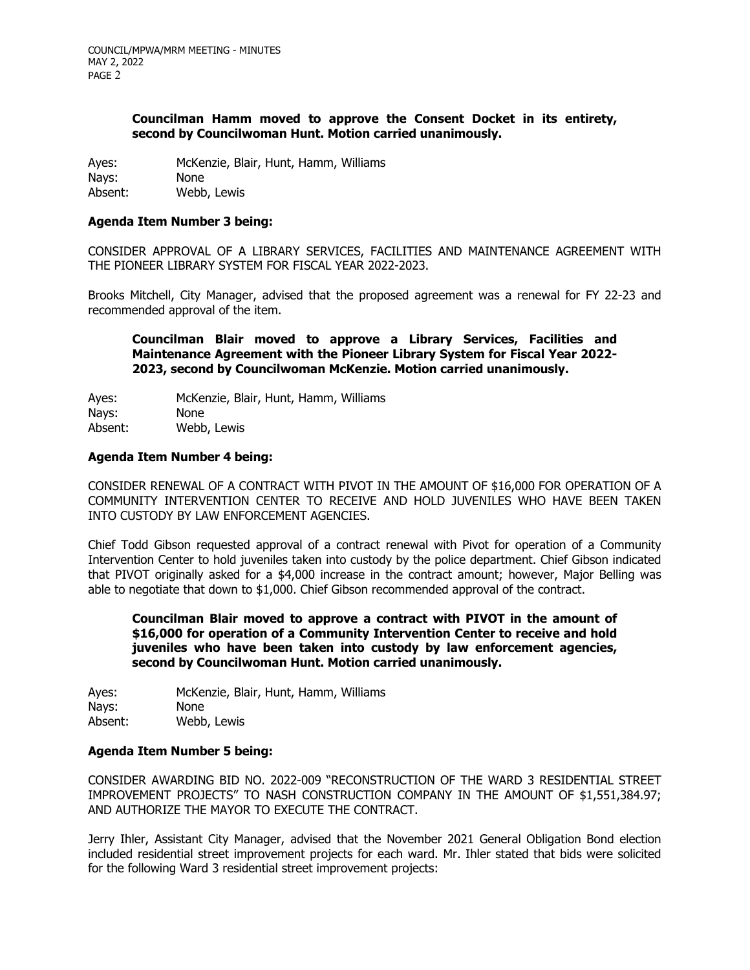#### **Councilman Hamm moved to approve the Consent Docket in its entirety, second by Councilwoman Hunt. Motion carried unanimously.**

Ayes: McKenzie, Blair, Hunt, Hamm, Williams

Nays: None<br>Absent: Webb Webb, Lewis

## **Agenda Item Number 3 being:**

CONSIDER APPROVAL OF A LIBRARY SERVICES, FACILITIES AND MAINTENANCE AGREEMENT WITH THE PIONEER LIBRARY SYSTEM FOR FISCAL YEAR 2022-2023.

Brooks Mitchell, City Manager, advised that the proposed agreement was a renewal for FY 22-23 and recommended approval of the item.

**Councilman Blair moved to approve a Library Services, Facilities and Maintenance Agreement with the Pioneer Library System for Fiscal Year 2022- 2023, second by Councilwoman McKenzie. Motion carried unanimously.**

Ayes: McKenzie, Blair, Hunt, Hamm, Williams<br>Navs: None Nays:<br>Absent: Webb, Lewis

#### **Agenda Item Number 4 being:**

CONSIDER RENEWAL OF A CONTRACT WITH PIVOT IN THE AMOUNT OF \$16,000 FOR OPERATION OF A COMMUNITY INTERVENTION CENTER TO RECEIVE AND HOLD JUVENILES WHO HAVE BEEN TAKEN INTO CUSTODY BY LAW ENFORCEMENT AGENCIES.

Chief Todd Gibson requested approval of a contract renewal with Pivot for operation of a Community Intervention Center to hold juveniles taken into custody by the police department. Chief Gibson indicated that PIVOT originally asked for a \$4,000 increase in the contract amount; however, Major Belling was able to negotiate that down to \$1,000. Chief Gibson recommended approval of the contract.

**Councilman Blair moved to approve a contract with PIVOT in the amount of \$16,000 for operation of a Community Intervention Center to receive and hold juveniles who have been taken into custody by law enforcement agencies, second by Councilwoman Hunt. Motion carried unanimously.**

Ayes: McKenzie, Blair, Hunt, Hamm, Williams<br>Navs: None Nays:<br>Absent: Webb, Lewis

#### **Agenda Item Number 5 being:**

CONSIDER AWARDING BID NO. 2022-009 "RECONSTRUCTION OF THE WARD 3 RESIDENTIAL STREET IMPROVEMENT PROJECTS" TO NASH CONSTRUCTION COMPANY IN THE AMOUNT OF \$1,551,384.97; AND AUTHORIZE THE MAYOR TO EXECUTE THE CONTRACT.

Jerry Ihler, Assistant City Manager, advised that the November 2021 General Obligation Bond election included residential street improvement projects for each ward. Mr. Ihler stated that bids were solicited for the following Ward 3 residential street improvement projects: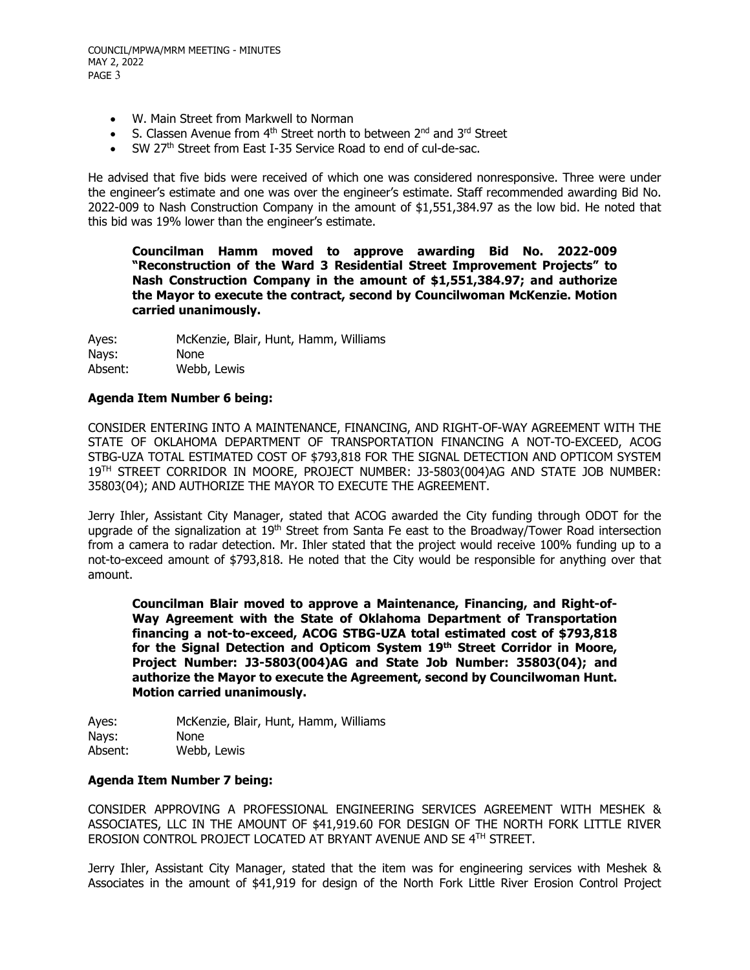- W. Main Street from Markwell to Norman
- S. Classen Avenue from 4<sup>th</sup> Street north to between 2<sup>nd</sup> and 3<sup>rd</sup> Street
- SW 27<sup>th</sup> Street from East I-35 Service Road to end of cul-de-sac.

He advised that five bids were received of which one was considered nonresponsive. Three were under the engineer's estimate and one was over the engineer's estimate. Staff recommended awarding Bid No. 2022-009 to Nash Construction Company in the amount of \$1,551,384.97 as the low bid. He noted that this bid was 19% lower than the engineer's estimate.

**Councilman Hamm moved to approve awarding Bid No. 2022-009 "Reconstruction of the Ward 3 Residential Street Improvement Projects" to Nash Construction Company in the amount of \$1,551,384.97; and authorize the Mayor to execute the contract, second by Councilwoman McKenzie. Motion carried unanimously.**

Ayes: McKenzie, Blair, Hunt, Hamm, Williams Nays: None Absent: Webb, Lewis

## **Agenda Item Number 6 being:**

CONSIDER ENTERING INTO A MAINTENANCE, FINANCING, AND RIGHT-OF-WAY AGREEMENT WITH THE STATE OF OKLAHOMA DEPARTMENT OF TRANSPORTATION FINANCING A NOT-TO-EXCEED, ACOG STBG-UZA TOTAL ESTIMATED COST OF \$793,818 FOR THE SIGNAL DETECTION AND OPTICOM SYSTEM 19TH STREET CORRIDOR IN MOORE, PROJECT NUMBER: J3-5803(004)AG AND STATE JOB NUMBER: 35803(04); AND AUTHORIZE THE MAYOR TO EXECUTE THE AGREEMENT.

Jerry Ihler, Assistant City Manager, stated that ACOG awarded the City funding through ODOT for the upgrade of the signalization at  $19<sup>th</sup>$  Street from Santa Fe east to the Broadway/Tower Road intersection from a camera to radar detection. Mr. Ihler stated that the project would receive 100% funding up to a not-to-exceed amount of \$793,818. He noted that the City would be responsible for anything over that amount.

**Councilman Blair moved to approve a Maintenance, Financing, and Right-of-Way Agreement with the State of Oklahoma Department of Transportation financing a not-to-exceed, ACOG STBG-UZA total estimated cost of \$793,818 for the Signal Detection and Opticom System 19th Street Corridor in Moore, Project Number: J3-5803(004)AG and State Job Number: 35803(04); and authorize the Mayor to execute the Agreement, second by Councilwoman Hunt. Motion carried unanimously.**

Ayes: McKenzie, Blair, Hunt, Hamm, Williams Nays: None<br>Absent: Webb Webb, Lewis

#### **Agenda Item Number 7 being:**

CONSIDER APPROVING A PROFESSIONAL ENGINEERING SERVICES AGREEMENT WITH MESHEK & ASSOCIATES, LLC IN THE AMOUNT OF \$41,919.60 FOR DESIGN OF THE NORTH FORK LITTLE RIVER EROSION CONTROL PROJECT LOCATED AT BRYANT AVENUE AND SE 4TH STREET.

Jerry Ihler, Assistant City Manager, stated that the item was for engineering services with Meshek & Associates in the amount of \$41,919 for design of the North Fork Little River Erosion Control Project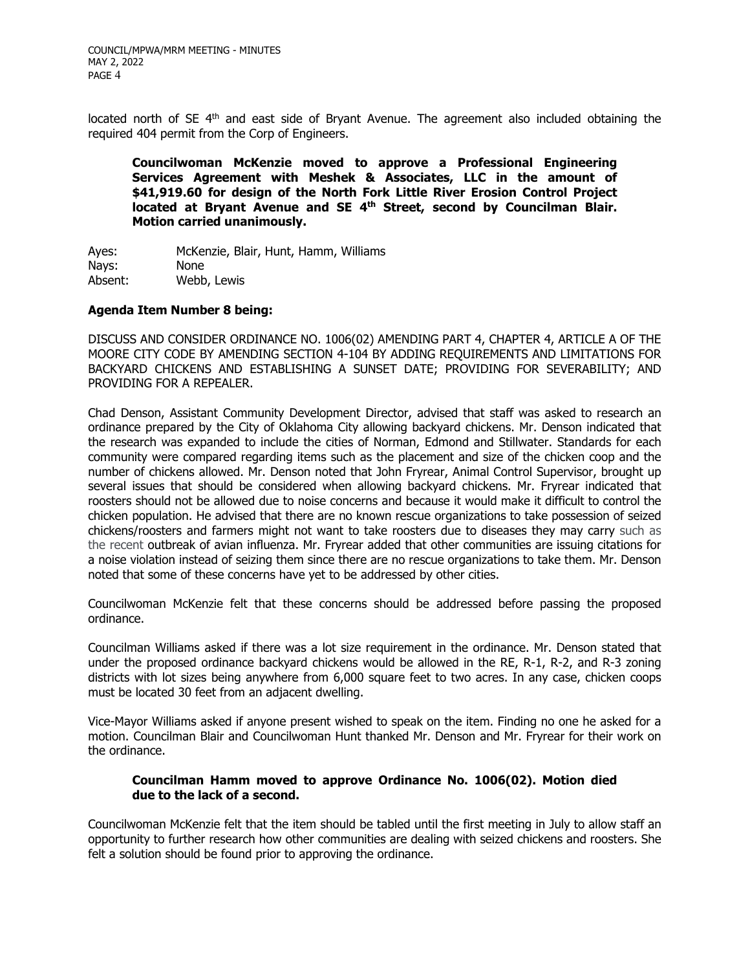located north of  $SE$   $4<sup>th</sup>$  and east side of Bryant Avenue. The agreement also included obtaining the required 404 permit from the Corp of Engineers.

**Councilwoman McKenzie moved to approve a Professional Engineering Services Agreement with Meshek & Associates, LLC in the amount of \$41,919.60 for design of the North Fork Little River Erosion Control Project located at Bryant Avenue and SE 4th Street, second by Councilman Blair. Motion carried unanimously.**

Ayes: McKenzie, Blair, Hunt, Hamm, Williams<br>Navs: None Nays: Absent: Webb, Lewis

## **Agenda Item Number 8 being:**

DISCUSS AND CONSIDER ORDINANCE NO. 1006(02) AMENDING PART 4, CHAPTER 4, ARTICLE A OF THE MOORE CITY CODE BY AMENDING SECTION 4-104 BY ADDING REQUIREMENTS AND LIMITATIONS FOR BACKYARD CHICKENS AND ESTABLISHING A SUNSET DATE; PROVIDING FOR SEVERABILITY; AND PROVIDING FOR A REPEALER.

Chad Denson, Assistant Community Development Director, advised that staff was asked to research an ordinance prepared by the City of Oklahoma City allowing backyard chickens. Mr. Denson indicated that the research was expanded to include the cities of Norman, Edmond and Stillwater. Standards for each community were compared regarding items such as the placement and size of the chicken coop and the number of chickens allowed. Mr. Denson noted that John Fryrear, Animal Control Supervisor, brought up several issues that should be considered when allowing backyard chickens. Mr. Fryrear indicated that roosters should not be allowed due to noise concerns and because it would make it difficult to control the chicken population. He advised that there are no known rescue organizations to take possession of seized chickens/roosters and farmers might not want to take roosters due to diseases they may carry such as the recent outbreak of avian influenza. Mr. Fryrear added that other communities are issuing citations for a noise violation instead of seizing them since there are no rescue organizations to take them. Mr. Denson noted that some of these concerns have yet to be addressed by other cities.

Councilwoman McKenzie felt that these concerns should be addressed before passing the proposed ordinance.

Councilman Williams asked if there was a lot size requirement in the ordinance. Mr. Denson stated that under the proposed ordinance backyard chickens would be allowed in the RE, R-1, R-2, and R-3 zoning districts with lot sizes being anywhere from 6,000 square feet to two acres. In any case, chicken coops must be located 30 feet from an adjacent dwelling.

Vice-Mayor Williams asked if anyone present wished to speak on the item. Finding no one he asked for a motion. Councilman Blair and Councilwoman Hunt thanked Mr. Denson and Mr. Fryrear for their work on the ordinance.

## **Councilman Hamm moved to approve Ordinance No. 1006(02). Motion died due to the lack of a second.**

Councilwoman McKenzie felt that the item should be tabled until the first meeting in July to allow staff an opportunity to further research how other communities are dealing with seized chickens and roosters. She felt a solution should be found prior to approving the ordinance.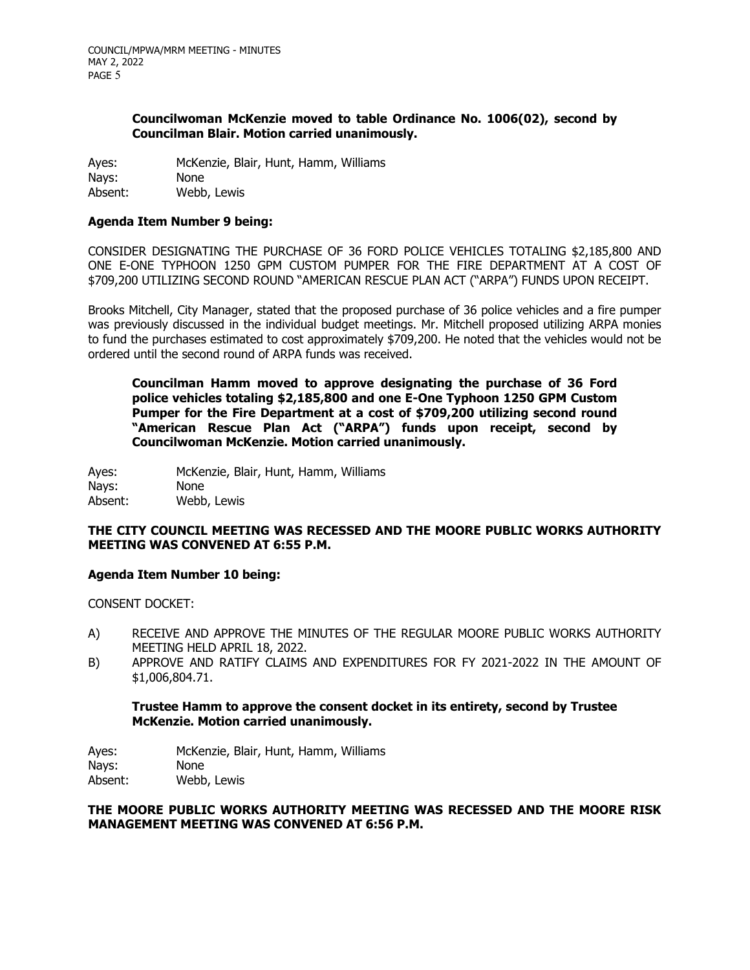## **Councilwoman McKenzie moved to table Ordinance No. 1006(02), second by Councilman Blair. Motion carried unanimously.**

Ayes: McKenzie, Blair, Hunt, Hamm, Williams Nays: None<br>Absent: Webb Webb, Lewis

## **Agenda Item Number 9 being:**

CONSIDER DESIGNATING THE PURCHASE OF 36 FORD POLICE VEHICLES TOTALING \$2,185,800 AND ONE E-ONE TYPHOON 1250 GPM CUSTOM PUMPER FOR THE FIRE DEPARTMENT AT A COST OF \$709,200 UTILIZING SECOND ROUND "AMERICAN RESCUE PLAN ACT ("ARPA") FUNDS UPON RECEIPT.

Brooks Mitchell, City Manager, stated that the proposed purchase of 36 police vehicles and a fire pumper was previously discussed in the individual budget meetings. Mr. Mitchell proposed utilizing ARPA monies to fund the purchases estimated to cost approximately \$709,200. He noted that the vehicles would not be ordered until the second round of ARPA funds was received.

**Councilman Hamm moved to approve designating the purchase of 36 Ford police vehicles totaling \$2,185,800 and one E-One Typhoon 1250 GPM Custom Pumper for the Fire Department at a cost of \$709,200 utilizing second round "American Rescue Plan Act ("ARPA") funds upon receipt, second by Councilwoman McKenzie. Motion carried unanimously.**

Ayes: McKenzie, Blair, Hunt, Hamm, Williams<br>Nays: None Nays:<br>Absent: Webb, Lewis

## **THE CITY COUNCIL MEETING WAS RECESSED AND THE MOORE PUBLIC WORKS AUTHORITY MEETING WAS CONVENED AT 6:55 P.M.**

#### **Agenda Item Number 10 being:**

CONSENT DOCKET:

- A) RECEIVE AND APPROVE THE MINUTES OF THE REGULAR MOORE PUBLIC WORKS AUTHORITY MEETING HELD APRIL 18, 2022.
- B) APPROVE AND RATIFY CLAIMS AND EXPENDITURES FOR FY 2021-2022 IN THE AMOUNT OF \$1,006,804.71.

## **Trustee Hamm to approve the consent docket in its entirety, second by Trustee McKenzie. Motion carried unanimously.**

Ayes: McKenzie, Blair, Hunt, Hamm, Williams Nays: None<br>Absent: Webb Webb, Lewis

**THE MOORE PUBLIC WORKS AUTHORITY MEETING WAS RECESSED AND THE MOORE RISK MANAGEMENT MEETING WAS CONVENED AT 6:56 P.M.**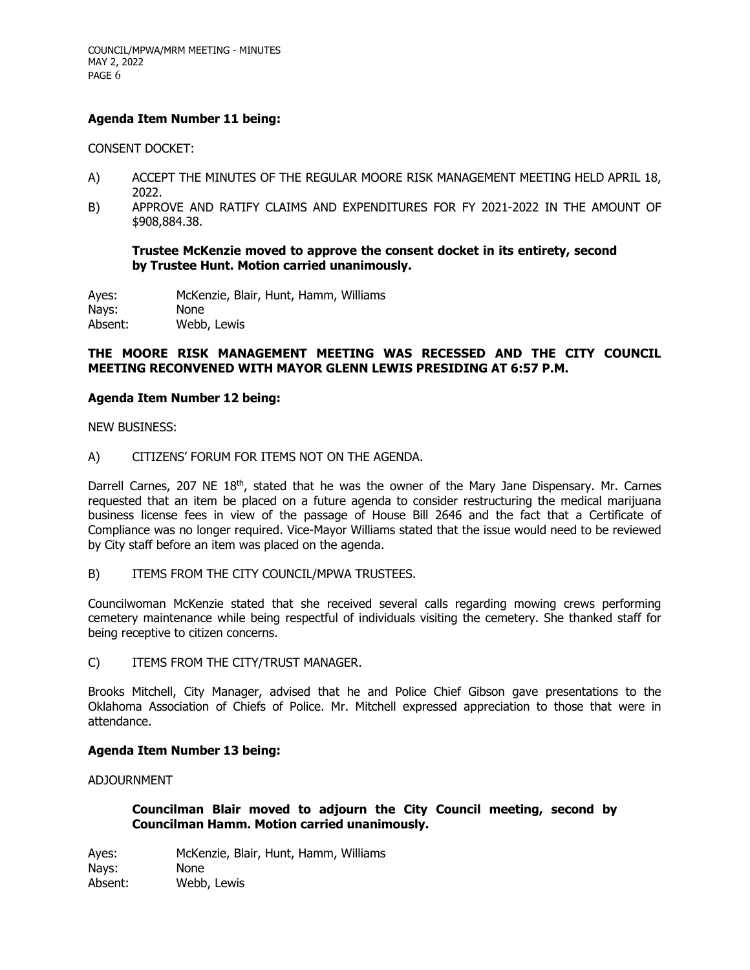## **Agenda Item Number 11 being:**

CONSENT DOCKET:

- A) ACCEPT THE MINUTES OF THE REGULAR MOORE RISK MANAGEMENT MEETING HELD APRIL 18, 2022.
- B) APPROVE AND RATIFY CLAIMS AND EXPENDITURES FOR FY 2021-2022 IN THE AMOUNT OF \$908,884.38.

**Trustee McKenzie moved to approve the consent docket in its entirety, second by Trustee Hunt. Motion carried unanimously.**

Ayes: McKenzie, Blair, Hunt, Hamm, Williams Nays: None Absent: Webb, Lewis

#### **THE MOORE RISK MANAGEMENT MEETING WAS RECESSED AND THE CITY COUNCIL MEETING RECONVENED WITH MAYOR GLENN LEWIS PRESIDING AT 6:57 P.M.**

#### **Agenda Item Number 12 being:**

NEW BUSINESS:

A) CITIZENS' FORUM FOR ITEMS NOT ON THE AGENDA.

Darrell Carnes, 207 NE  $18<sup>th</sup>$ , stated that he was the owner of the Mary Jane Dispensary. Mr. Carnes requested that an item be placed on a future agenda to consider restructuring the medical marijuana business license fees in view of the passage of House Bill 2646 and the fact that a Certificate of Compliance was no longer required. Vice-Mayor Williams stated that the issue would need to be reviewed by City staff before an item was placed on the agenda.

B) ITEMS FROM THE CITY COUNCIL/MPWA TRUSTEES.

Councilwoman McKenzie stated that she received several calls regarding mowing crews performing cemetery maintenance while being respectful of individuals visiting the cemetery. She thanked staff for being receptive to citizen concerns.

C) ITEMS FROM THE CITY/TRUST MANAGER.

Brooks Mitchell, City Manager, advised that he and Police Chief Gibson gave presentations to the Oklahoma Association of Chiefs of Police. Mr. Mitchell expressed appreciation to those that were in attendance.

#### **Agenda Item Number 13 being:**

ADJOURNMENT

## **Councilman Blair moved to adjourn the City Council meeting, second by Councilman Hamm. Motion carried unanimously.**

Ayes: McKenzie, Blair, Hunt, Hamm, Williams Nays: None Absent: Webb, Lewis